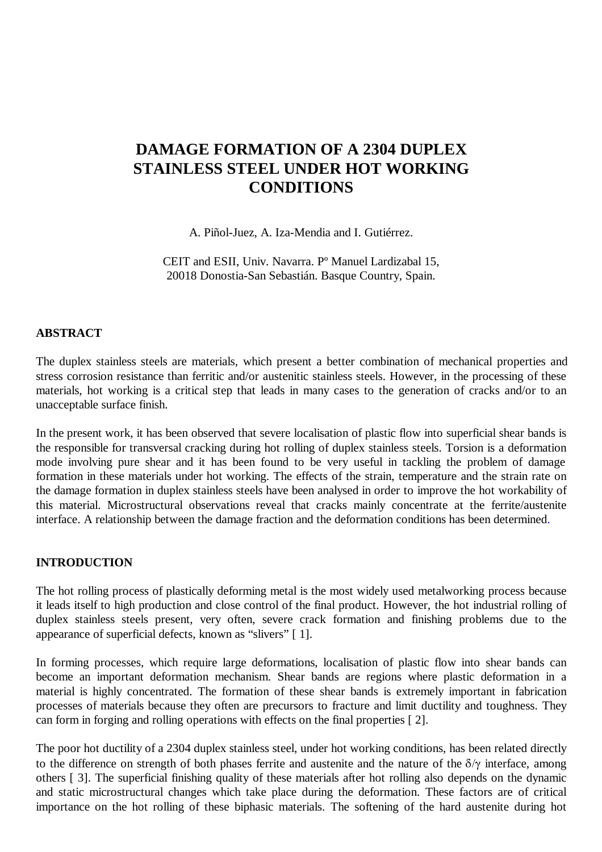# **DAMAGE FORMATION OF A 2304 DUPLEX STAINLESS STEEL UNDER HOT WORKING CONDITIONS**

A. Piñol-Juez, A. Iza-Mendia and I. Gutiérrez.

CEIT and ESII, Univ. Navarra. Pº Manuel Lardizabal 15, 20018 Donostia-San Sebastián. Basque Country, Spain.

#### **ABSTRACT**

The duplex stainless steels are materials, which present a better combination of mechanical properties and stress corrosion resistance than ferritic and/or austenitic stainless steels. However, in the processing of these materials, hot working is a critical step that leads in many cases to the generation of cracks and/or to an unacceptable surface finish.

In the present work, it has been observed that severe localisation of plastic flow into superficial shear bands is the responsible for transversal cracking during hot rolling of duplex stainless steels. Torsion is a deformation mode involving pure shear and it has been found to be very useful in tackling the problem of damage formation in these materials under hot working. The effects of the strain, temperature and the strain rate on the damage formation in duplex stainless steels have been analysed in order to improve the hot workability of this material. Microstructural observations reveal that cracks mainly concentrate at the ferrite/austenite interface. A relationship between the damage fraction and the deformation conditions has been determined.

#### **INTRODUCTION**

The hot rolling process of plastically deforming metal is the most widely used metalworking process because it leads itself to high production and close control of the final product. However, the hot industrial rolling of duplex stainless steels present, very often, severe crack formation and finishing problems due to the appearance of superficial defects, known as "slivers" [ 1].

In forming processes, which require large deformations, localisation of plastic flow into shear bands can become an important deformation mechanism. Shear bands are regions where plastic deformation in a material is highly concentrated. The formation of these shear bands is extremely important in fabrication processes of materials because they often are precursors to fracture and limit ductility and toughness. They can form in forging and rolling operations with effects on the final properties [ 2].

The poor hot ductility of a 2304 duplex stainless steel, under hot working conditions, has been related directly to the difference on strength of both phases ferrite and austenite and the nature of the  $\delta/\gamma$  interface, among others [ 3]. The superficial finishing quality of these materials after hot rolling also depends on the dynamic and static microstructural changes which take place during the deformation. These factors are of critical importance on the hot rolling of these biphasic materials. The softening of the hard austenite during hot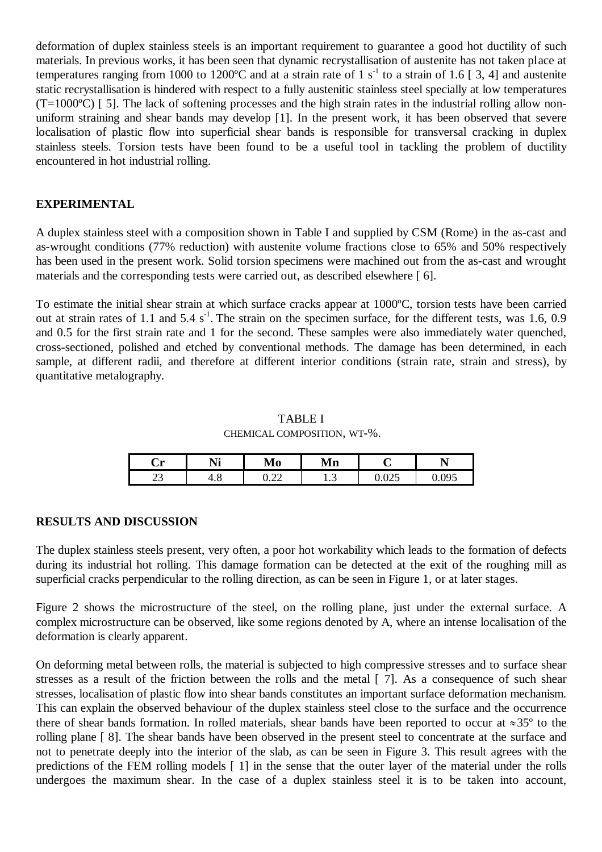deformation of duplex stainless steels is an important requirement to guarantee a good hot ductility of such materials. In previous works, it has been seen that dynamic recrystallisation of austenite has not taken place at temperatures ranging from 1000 to 1200°C and at a strain rate of 1 s<sup>-1</sup> to a strain of 1.6 [3, 4] and austenite static recrystallisation is hindered with respect to a fully austenitic stainless steel specially at low temperatures (T=1000ºC) [ 5]. The lack of softening processes and the high strain rates in the industrial rolling allow nonuniform straining and shear bands may develop [1]. In the present work, it has been observed that severe localisation of plastic flow into superficial shear bands is responsible for transversal cracking in duplex stainless steels. Torsion tests have been found to be a useful tool in tackling the problem of ductility encountered in hot industrial rolling.

# **EXPERIMENTAL**

A duplex stainless steel with a composition shown in Table I and supplied by CSM (Rome) in the as-cast and as-wrought conditions (77% reduction) with austenite volume fractions close to 65% and 50% respectively has been used in the present work. Solid torsion specimens were machined out from the as-cast and wrought materials and the corresponding tests were carried out, as described elsewhere [ 6].

To estimate the initial shear strain at which surface cracks appear at 1000ºC, torsion tests have been carried out at strain rates of 1.1 and  $5.4 s<sup>-1</sup>$ . The strain on the specimen surface, for the different tests, was 1.6, 0.9 and 0.5 for the first strain rate and 1 for the second. These samples were also immediately water quenched, cross-sectioned, polished and etched by conventional methods. The damage has been determined, in each sample, at different radii, and therefore at different interior conditions (strain rate, strain and stress), by quantitative metalography.

# TABLE I

CHEMICAL COMPOSITION, WT-%.

| -<br>. н<br>◡ェ | $\blacksquare$<br>* 1* | NЛ<br>Mo     | ћ æ<br>Mn |          | -            |
|----------------|------------------------|--------------|-----------|----------|--------------|
| $\sim$         | 7. U                   | $\sim$       | ∽         | $\Omega$ | $\Omega$     |
| ر_             |                        | 0. <i>uu</i> | 1.J       | ∪.∪∠⊜    | $\checkmark$ |

## **RESULTS AND DISCUSSION**

The duplex stainless steels present, very often, a poor hot workability which leads to the formation of defects during its industrial hot rolling. This damage formation can be detected at the exit of the roughing mill as superficial cracks perpendicular to the rolling direction, as can be seen in Figure 1, or at later stages.

Figure 2 shows the microstructure of the steel, on the rolling plane, just under the external surface. A complex microstructure can be observed, like some regions denoted by A, where an intense localisation of the deformation is clearly apparent.

On deforming metal between rolls, the material is subjected to high compressive stresses and to surface shear stresses as a result of the friction between the rolls and the metal [ 7]. As a consequence of such shear stresses, localisation of plastic flow into shear bands constitutes an important surface deformation mechanism. This can explain the observed behaviour of the duplex stainless steel close to the surface and the occurrence there of shear bands formation. In rolled materials, shear bands have been reported to occur at  $\approx 35^{\circ}$  to the rolling plane [ 8]. The shear bands have been observed in the present steel to concentrate at the surface and not to penetrate deeply into the interior of the slab, as can be seen in Figure 3. This result agrees with the predictions of the FEM rolling models [ 1] in the sense that the outer layer of the material under the rolls undergoes the maximum shear. In the case of a duplex stainless steel it is to be taken into account,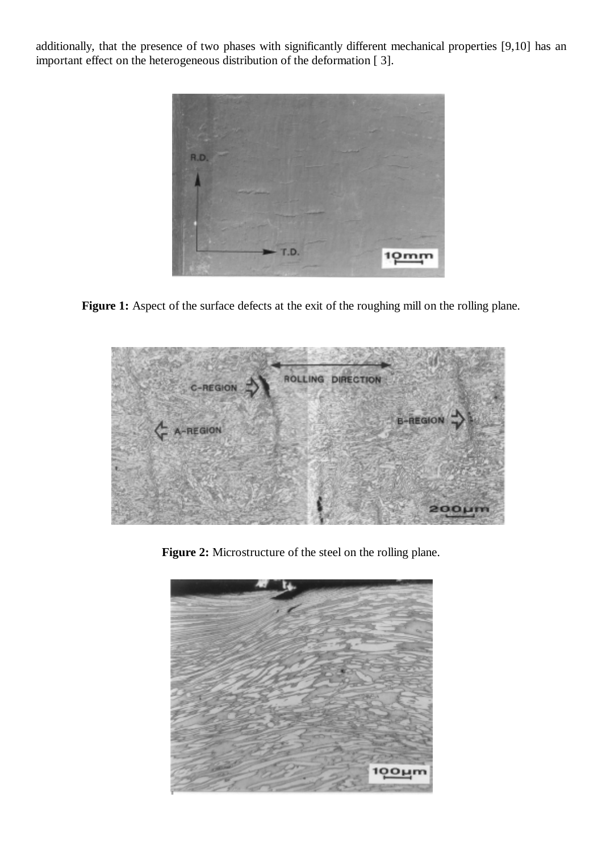additionally, that the presence of two phases with significantly different mechanical properties [9,10] has an important effect on the heterogeneous distribution of the deformation [ 3].



Figure 1: Aspect of the surface defects at the exit of the roughing mill on the rolling plane.



**Figure 2:** Microstructure of the steel on the rolling plane.

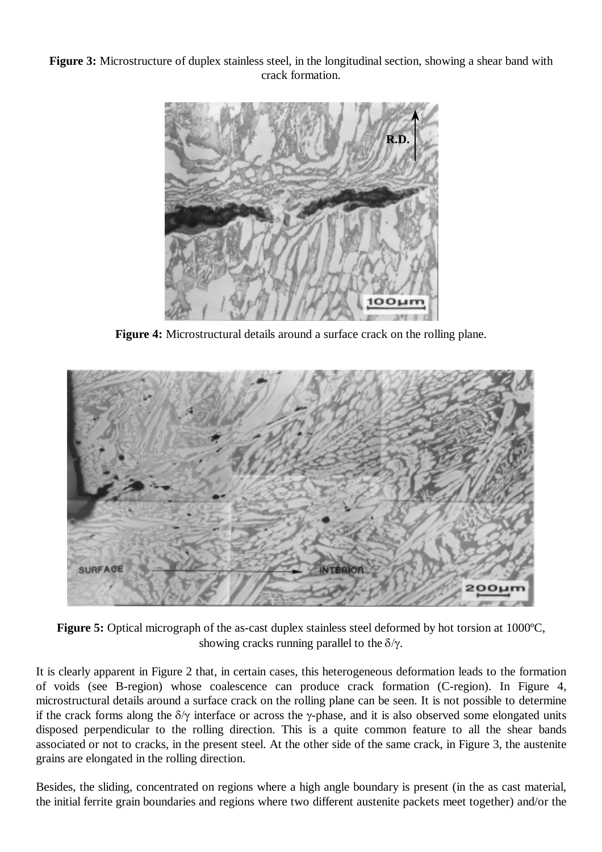**Figure 3:** Microstructure of duplex stainless steel, in the longitudinal section, showing a shear band with crack formation.



**Figure 4:** Microstructural details around a surface crack on the rolling plane.



**Figure 5:** Optical micrograph of the as-cast duplex stainless steel deformed by hot torsion at 1000ºC, showing cracks running parallel to the  $\delta/\gamma$ .

It is clearly apparent in Figure 2 that, in certain cases, this heterogeneous deformation leads to the formation of voids (see B-region) whose coalescence can produce crack formation (C-region). In Figure 4, microstructural details around a surface crack on the rolling plane can be seen. It is not possible to determine if the crack forms along the  $\delta/\gamma$  interface or across the y-phase, and it is also observed some elongated units disposed perpendicular to the rolling direction. This is a quite common feature to all the shear bands associated or not to cracks, in the present steel. At the other side of the same crack, in Figure 3, the austenite grains are elongated in the rolling direction.

Besides, the sliding, concentrated on regions where a high angle boundary is present (in the as cast material, the initial ferrite grain boundaries and regions where two different austenite packets meet together) and/or the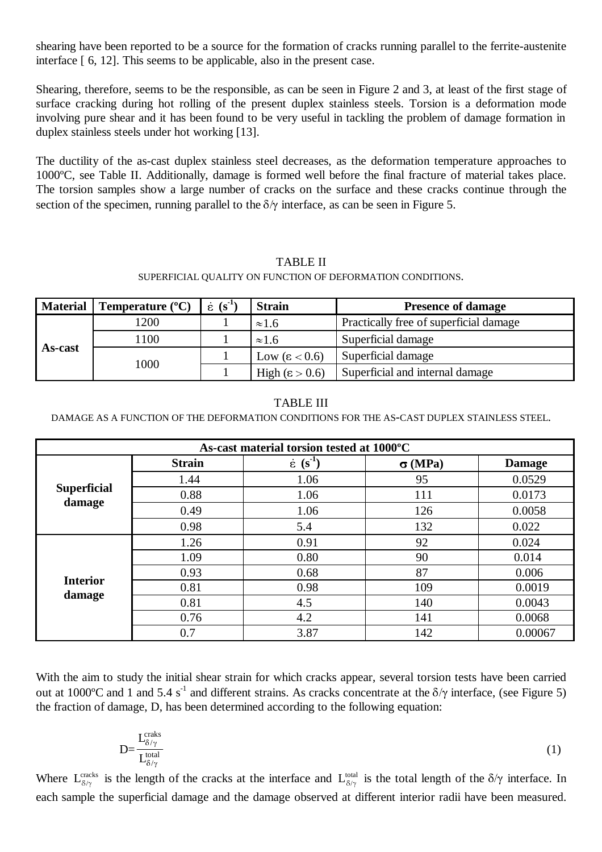shearing have been reported to be a source for the formation of cracks running parallel to the ferrite-austenite interface [ 6, 12]. This seems to be applicable, also in the present case.

Shearing, therefore, seems to be the responsible, as can be seen in Figure 2 and 3, at least of the first stage of surface cracking during hot rolling of the present duplex stainless steels. Torsion is a deformation mode involving pure shear and it has been found to be very useful in tackling the problem of damage formation in duplex stainless steels under hot working [13].

The ductility of the as-cast duplex stainless steel decreases, as the deformation temperature approaches to 1000ºC, see Table II. Additionally, damage is formed well before the final fracture of material takes place. The torsion samples show a large number of cracks on the surface and these cracks continue through the section of the specimen, running parallel to the  $\delta/\gamma$  interface, as can be seen in Figure 5.

### TABLE II

#### SUPERFICIAL QUALITY ON FUNCTION OF DEFORMATION CONDITIONS.

| <b>TABLE II</b><br>SUPERFICIAL QUALITY ON FUNCTION OF DEFORMATION CONDITIONS. |                           |                 |                         |                                        |  |  |  |  |  |
|-------------------------------------------------------------------------------|---------------------------|-----------------|-------------------------|----------------------------------------|--|--|--|--|--|
| <b>Material</b>                                                               | Temperature $(^{\circ}C)$ | $(s^{-1})$<br>έ | <b>Strain</b>           | <b>Presence of damage</b>              |  |  |  |  |  |
| As-cast                                                                       | 1200                      |                 | $\approx 1.6$           | Practically free of superficial damage |  |  |  |  |  |
|                                                                               | 1100                      |                 | $\approx 1.6$           | Superficial damage                     |  |  |  |  |  |
|                                                                               | 1000                      |                 | Low $(\epsilon < 0.6)$  | Superficial damage                     |  |  |  |  |  |
|                                                                               |                           |                 | High $(\epsilon > 0.6)$ | Superficial and internal damage        |  |  |  |  |  |

#### TABLE III

#### DAMAGE AS A FUNCTION OF THE DEFORMATION CONDITIONS FOR THE AS-CAST DUPLEX STAINLESS STEEL.

| <b>TABLE III</b><br>DAMAGE AS A FUNCTION OF THE DEFORMATION CONDITIONS FOR THE AS-CAST DUPLEX STAINLESS STEEL. |               |                               |               |               |  |  |  |  |  |
|----------------------------------------------------------------------------------------------------------------|---------------|-------------------------------|---------------|---------------|--|--|--|--|--|
| As-cast material torsion tested at 1000°C                                                                      |               |                               |               |               |  |  |  |  |  |
|                                                                                                                | <b>Strain</b> | $\epsilon$ (s <sup>-1</sup> ) | $\sigma(MPa)$ | <b>Damage</b> |  |  |  |  |  |
| <b>Superficial</b>                                                                                             | 1.44          | 1.06                          | 95            | 0.0529        |  |  |  |  |  |
|                                                                                                                | 0.88          | 1.06                          | 111           | 0.0173        |  |  |  |  |  |
| damage                                                                                                         | 0.49          | 1.06                          | 126           | 0.0058        |  |  |  |  |  |
|                                                                                                                | 0.98          | 5.4                           | 132           | 0.022         |  |  |  |  |  |
|                                                                                                                | 1.26          | 0.91                          | 92            | 0.024         |  |  |  |  |  |
|                                                                                                                | 1.09          | 0.80                          | 90            | 0.014         |  |  |  |  |  |
|                                                                                                                | 0.93          | 0.68                          | 87            | 0.006         |  |  |  |  |  |
| <b>Interior</b>                                                                                                | 0.81          | 0.98                          | 109           | 0.0019        |  |  |  |  |  |
| damage                                                                                                         | 0.81          | 4.5                           | 140           | 0.0043        |  |  |  |  |  |
|                                                                                                                | 0.76          | 4.2                           | 141           | 0.0068        |  |  |  |  |  |
|                                                                                                                | 0.7           | 3.87                          | 142           | 0.00067       |  |  |  |  |  |

With the aim to study the initial shear strain for which cracks appear, several torsion tests have been carried out at 1000 °C and 1 and 5.4 s<sup>-1</sup> and different strains. As cracks concentrate at the  $\delta/\gamma$  interface, (see Figure 5) the fraction of damage, D, has been determined according to the following equation:

$$
D = \frac{L_{\delta/\gamma}^{\text{craks}}}{L_{\delta/\gamma}^{\text{total}}} \tag{1}
$$

Where  $L_{\delta/\gamma}^{\text{cracks}}$  is the length of the cracks at the interface and  $L_{\delta/\gamma}^{\text{total}}$  is the total length of the  $\delta/\gamma$  interface. In each sample the superficial damage and the damage observed at different interior radii have been measured.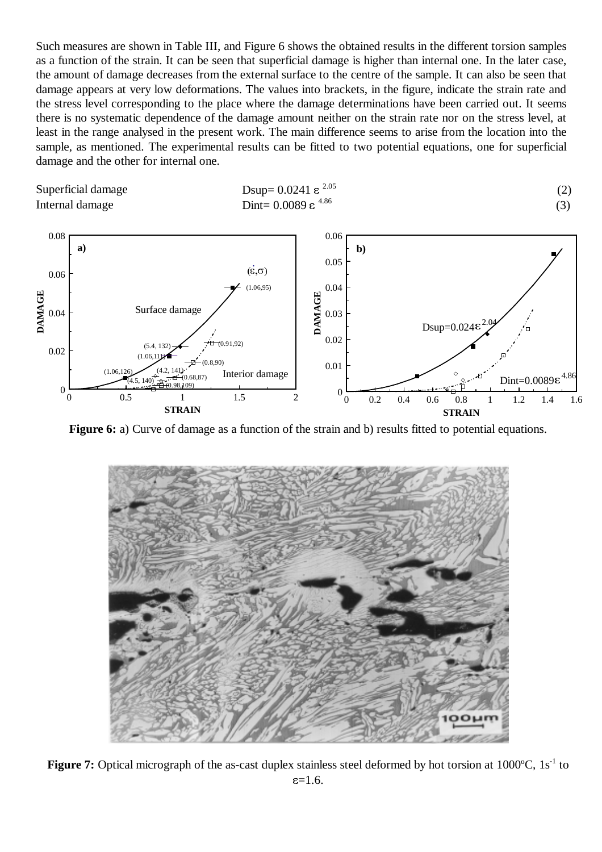Such measures are shown in Table III, and Figure 6 shows the obtained results in the different torsion samples as a function of the strain. It can be seen that superficial damage is higher than internal one. In the later case, the amount of damage decreases from the external surface to the centre of the sample. It can also be seen that damage appears at very low deformations. The values into brackets, in the figure, indicate the strain rate and the stress level corresponding to the place where the damage determinations have been carried out. It seems there is no systematic dependence of the damage amount neither on the strain rate nor on the stress level, at least in the range analysed in the present work. The main difference seems to arise from the location into the sample, as mentioned. The experimental results can be fitted to two potential equations, one for superficial damage and the other for internal one.

$$
Day = 0.0241 \, \varepsilon^{2.05} \tag{2}
$$
\n
$$
Dint = 0.0089 \, \varepsilon^{4.86} \tag{3}
$$



$$
Dsup = 0.0241 ε2.35
$$
\n<sup>(2)</sup>\n
$$
Dint = 0.0089 ε4.86
$$
\n(3)



**Figure 6:** a) Curve of damage as a function of the strain and b) results fitted to potential equations.



Figure 7: Optical micrograph of the as-cast duplex stainless steel deformed by hot torsion at 1000°C, 1s<sup>-1</sup> to  $\varepsilon = 1.6$ .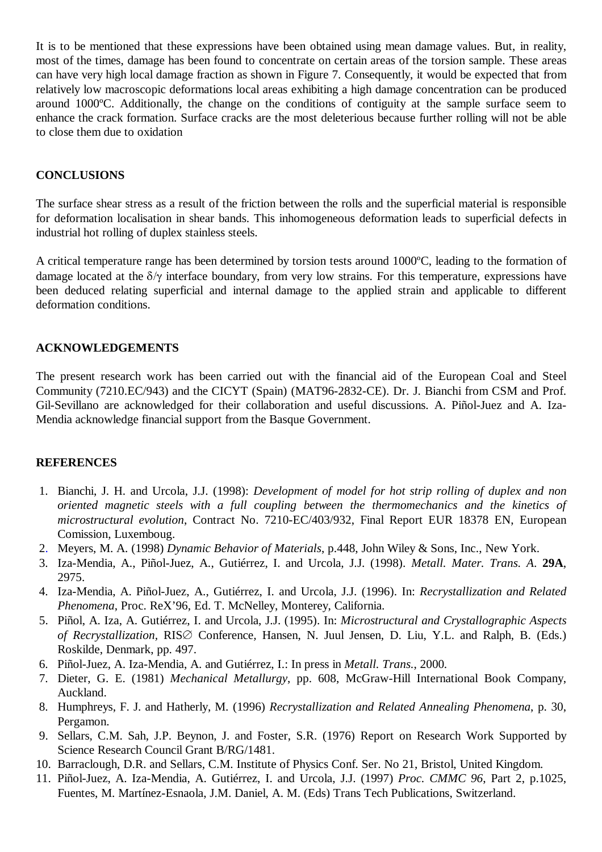It is to be mentioned that these expressions have been obtained using mean damage values. But, in reality, most of the times, damage has been found to concentrate on certain areas of the torsion sample. These areas can have very high local damage fraction as shown in Figure 7. Consequently, it would be expected that from relatively low macroscopic deformations local areas exhibiting a high damage concentration can be produced around 1000ºC. Additionally, the change on the conditions of contiguity at the sample surface seem to enhance the crack formation. Surface cracks are the most deleterious because further rolling will not be able to close them due to oxidation

# **CONCLUSIONS**

The surface shear stress as a result of the friction between the rolls and the superficial material is responsible for deformation localisation in shear bands. This inhomogeneous deformation leads to superficial defects in industrial hot rolling of duplex stainless steels.

A critical temperature range has been determined by torsion tests around 1000ºC, leading to the formation of damage located at the  $\delta/\gamma$  interface boundary, from very low strains. For this temperature, expressions have been deduced relating superficial and internal damage to the applied strain and applicable to different deformation conditions.

# **ACKNOWLEDGEMENTS**

The present research work has been carried out with the financial aid of the European Coal and Steel Community (7210.EC/943) and the CICYT (Spain) (MAT96-2832-CE). Dr. J. Bianchi from CSM and Prof. Gil-Sevillano are acknowledged for their collaboration and useful discussions. A. Piñol-Juez and A. Iza-Mendia acknowledge financial support from the Basque Government.

## **REFERENCES**

- 1. Bianchi, J. H. and Urcola, J.J. (1998): *Development of model for hot strip rolling of duplex and non oriented magnetic steels with a full coupling between the thermomechanics and the kinetics of microstructural evolution*, Contract No. 7210-EC/403/932, Final Report EUR 18378 EN, European Comission, Luxemboug.
- 2. Meyers, M. A. (1998) *Dynamic Behavior of Materials*, p.448, John Wiley & Sons, Inc., New York.
- 3. Iza-Mendia, A., Piñol-Juez, A., Gutiérrez, I. and Urcola, J.J. (1998). *Metall. Mater. Trans. A*. **29A**, 2975.
- 4. Iza-Mendia, A. Piñol-Juez, A., Gutiérrez, I. and Urcola, J.J. (1996). In: *Recrystallization and Related Phenomena*, Proc. ReX'96, Ed. T. McNelley, Monterey, California.
- 5. Piñol, A. Iza, A. Gutiérrez, I. and Urcola, J.J. (1995). In: *Microstructural and Crystallographic Aspects of Recrystallization, RIS* Conference, Hansen, N. Juul Jensen, D. Liu, Y.L. and Ralph, B. (Eds.) Roskilde, Denmark, pp. 497.
- 6. Piñol-Juez, A. Iza-Mendia, A. and Gutiérrez, I.: In press in *Metall. Trans*., 2000*.*
- 7. Dieter, G. E. (1981) *Mechanical Metallurgy*, pp. 608, McGraw-Hill International Book Company, Auckland.
- 8. Humphreys, F. J. and Hatherly, M. (1996) *Recrystallization and Related Annealing Phenomena*, p. 30, Pergamon.
- 9. Sellars, C.M. Sah, J.P. Beynon, J. and Foster, S.R. (1976) Report on Research Work Supported by Science Research Council Grant B/RG/1481.
- 10. Barraclough, D.R. and Sellars, C.M. Institute of Physics Conf. Ser. No 21, Bristol, United Kingdom.
- 11. Piñol-Juez, A. Iza-Mendia, A. Gutiérrez, I. and Urcola, J.J. (1997) *Proc. CMMC 96*, Part 2, p.1025, Fuentes, M. Martínez-Esnaola, J.M. Daniel, A. M. (Eds) Trans Tech Publications, Switzerland.